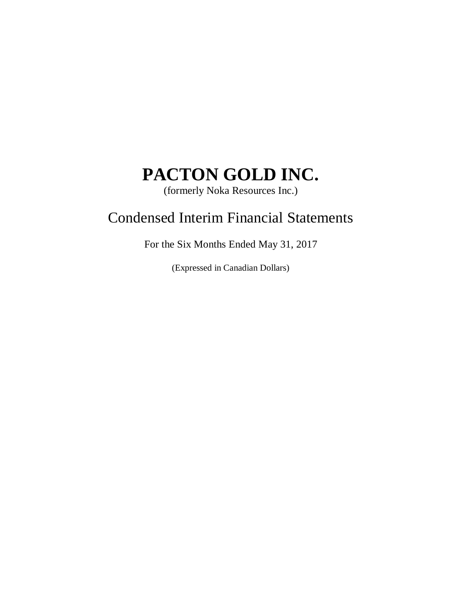(formerly Noka Resources Inc.)

# Condensed Interim Financial Statements

For the Six Months Ended May 31, 2017

(Expressed in Canadian Dollars)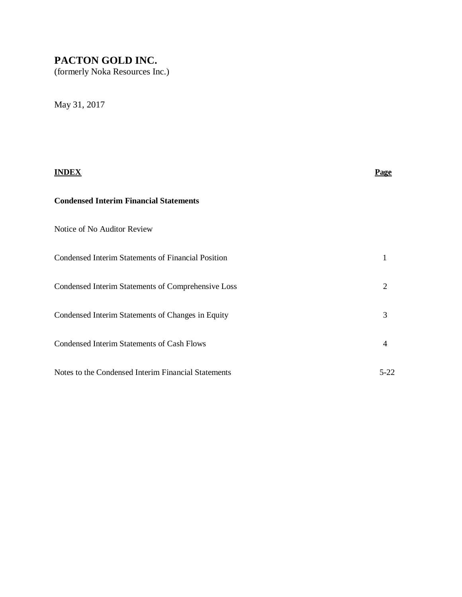(formerly Noka Resources Inc.)

May 31, 2017

|                                                     | Page           |
|-----------------------------------------------------|----------------|
| <b>Condensed Interim Financial Statements</b>       |                |
| Notice of No Auditor Review                         |                |
| Condensed Interim Statements of Financial Position  | 1              |
| Condensed Interim Statements of Comprehensive Loss  | $\overline{2}$ |
| Condensed Interim Statements of Changes in Equity   | 3              |
| <b>Condensed Interim Statements of Cash Flows</b>   | $\overline{4}$ |
| Notes to the Condensed Interim Financial Statements | 5-22           |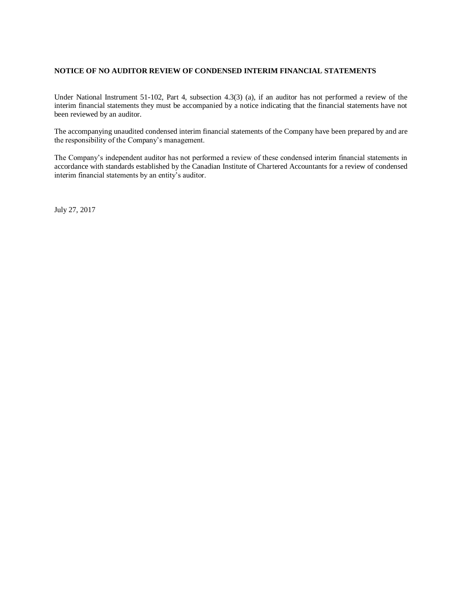### **NOTICE OF NO AUDITOR REVIEW OF CONDENSED INTERIM FINANCIAL STATEMENTS**

Under National Instrument 51-102, Part 4, subsection 4.3(3) (a), if an auditor has not performed a review of the interim financial statements they must be accompanied by a notice indicating that the financial statements have not been reviewed by an auditor.

The accompanying unaudited condensed interim financial statements of the Company have been prepared by and are the responsibility of the Company's management.

The Company's independent auditor has not performed a review of these condensed interim financial statements in accordance with standards established by the Canadian Institute of Chartered Accountants for a review of condensed interim financial statements by an entity's auditor.

July 27, 2017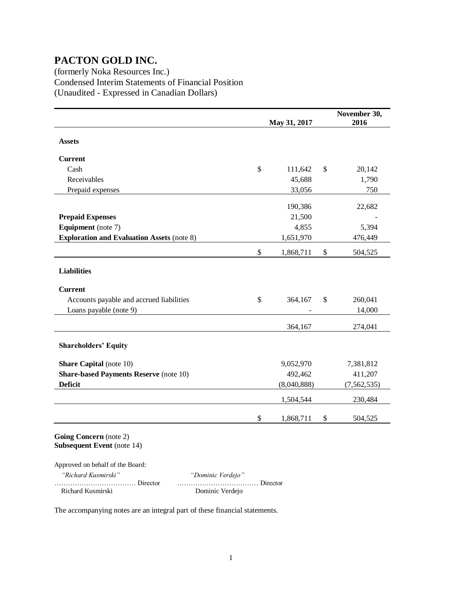(formerly Noka Resources Inc.) Condensed Interim Statements of Financial Position (Unaudited - Expressed in Canadian Dollars)

|                                                                                                 |               | May 31, 2017 |                           | November 30,<br>2016 |
|-------------------------------------------------------------------------------------------------|---------------|--------------|---------------------------|----------------------|
| <b>Assets</b>                                                                                   |               |              |                           |                      |
| <b>Current</b>                                                                                  |               |              |                           |                      |
| Cash                                                                                            | \$            | 111,642      | $\boldsymbol{\mathsf{S}}$ | 20,142               |
| Receivables                                                                                     |               | 45,688       |                           | 1,790                |
| Prepaid expenses                                                                                |               | 33,056       |                           | 750                  |
|                                                                                                 |               | 190,386      |                           | 22,682               |
| <b>Prepaid Expenses</b>                                                                         |               | 21,500       |                           |                      |
| <b>Equipment</b> (note 7)                                                                       |               | 4,855        |                           | 5,394                |
| <b>Exploration and Evaluation Assets (note 8)</b>                                               |               | 1,651,970    |                           | 476,449              |
|                                                                                                 | $\mathsf{\$}$ | 1,868,711    | \$                        | 504,525              |
| <b>Liabilities</b>                                                                              |               |              |                           |                      |
| <b>Current</b>                                                                                  |               |              |                           |                      |
| Accounts payable and accrued liabilities                                                        | \$            | 364,167      | \$                        | 260,041              |
| Loans payable (note 9)                                                                          |               |              |                           | 14,000               |
|                                                                                                 |               | 364,167      |                           | 274,041              |
| <b>Shareholders' Equity</b>                                                                     |               |              |                           |                      |
| <b>Share Capital</b> (note 10)                                                                  |               | 9,052,970    |                           | 7,381,812            |
| <b>Share-based Payments Reserve (note 10)</b>                                                   |               | 492,462      |                           | 411,207              |
| <b>Deficit</b>                                                                                  |               | (8,040,888)  |                           | (7, 562, 535)        |
|                                                                                                 |               | 1,504,544    |                           | 230,484              |
|                                                                                                 | \$            | 1,868,711    | \$                        | 504,525              |
| Going Concern (note 2)<br><b>Subsequent Event</b> (note 14)<br>Approved on behalf of the Board: |               |              |                           |                      |
| $(D - 1, , I, V, , I, N)$<br>$H_{1}$ , $H_{2}$ , $H_{3}$ , $H_{4}$ , $H_{5}$ , $H_{6}$          |               |              |                           |                      |

 *"Richard Kusmirski" "Dominic Verdejo"* Richard Kusmirski Dominic Verdejo

……………………………… Director ……………………………… Director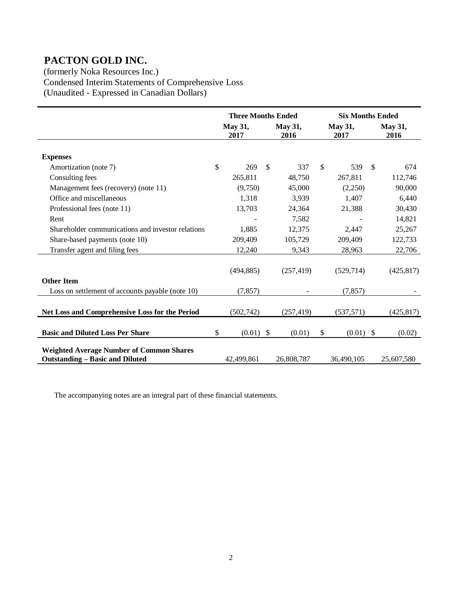(formerly Noka Resources Inc.) Condensed Interim Statements of Comprehensive Loss (Unaudited - Expressed in Canadian Dollars)

|                                                                                           | <b>Three Months Ended</b> |               |                        | <b>Six Months Ended</b> |                        |              |                        |  |  |
|-------------------------------------------------------------------------------------------|---------------------------|---------------|------------------------|-------------------------|------------------------|--------------|------------------------|--|--|
|                                                                                           | May 31,<br>2017           |               | <b>May 31,</b><br>2016 |                         | <b>May 31,</b><br>2017 |              | <b>May 31,</b><br>2016 |  |  |
| <b>Expenses</b>                                                                           |                           |               |                        |                         |                        |              |                        |  |  |
| Amortization (note 7)                                                                     | \$<br>269                 | <sup>\$</sup> | 337                    | <sup>\$</sup>           | 539                    | $\mathbb{S}$ | 674                    |  |  |
| Consulting fees                                                                           | 265,811                   |               | 48,750                 |                         | 267,811                |              | 112,746                |  |  |
| Management fees (recovery) (note 11)                                                      | (9,750)                   |               | 45,000                 |                         | (2,250)                |              | 90,000                 |  |  |
| Office and miscellaneous                                                                  | 1,318                     |               | 3,939                  |                         | 1,407                  |              | 6,440                  |  |  |
| Professional fees (note 11)                                                               | 13,703                    |               | 24,364                 |                         | 21,388                 |              | 30,430                 |  |  |
| Rent                                                                                      |                           |               | 7,582                  |                         |                        |              | 14,821                 |  |  |
| Shareholder communications and investor relations                                         | 1,885                     |               | 12,375                 |                         | 2,447                  |              | 25,267                 |  |  |
| Share-based payments (note 10)                                                            | 209,409                   |               | 105,729                |                         | 209,409                |              | 122,733                |  |  |
| Transfer agent and filing fees                                                            | 12,240                    |               | 9,343                  |                         | 28,963                 |              | 22,706                 |  |  |
|                                                                                           | (494, 885)                |               | (257, 419)             |                         | (529, 714)             |              | (425, 817)             |  |  |
| <b>Other Item</b>                                                                         |                           |               |                        |                         |                        |              |                        |  |  |
| Loss on settlement of accounts payable (note 10)                                          | (7, 857)                  |               |                        |                         | (7, 857)               |              |                        |  |  |
| Net Loss and Comprehensive Loss for the Period                                            | (502, 742)                |               | (257, 419)             |                         | (537, 571)             |              | (425, 817)             |  |  |
| <b>Basic and Diluted Loss Per Share</b>                                                   | \$<br>$(0.01)$ \$         |               | (0.01)                 | $\mathbb{S}$            | $(0.01)$ \$            |              | (0.02)                 |  |  |
| <b>Weighted Average Number of Common Shares</b><br><b>Outstanding – Basic and Diluted</b> | 42,499,861                |               | 26,808,787             |                         | 36,490,105             |              | 25,607,580             |  |  |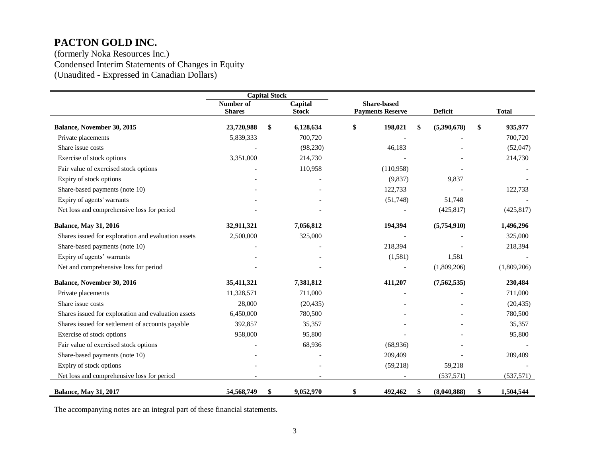(formerly Noka Resources Inc.) Condensed Interim Statements of Changes in Equity (Unaudited - Expressed in Canadian Dollars)

|                                                     | <b>Capital Stock</b>       |    |                         |                                        |           |                |                 |
|-----------------------------------------------------|----------------------------|----|-------------------------|----------------------------------------|-----------|----------------|-----------------|
|                                                     | Number of<br><b>Shares</b> |    | Capital<br><b>Stock</b> | Share-based<br><b>Payments Reserve</b> |           | <b>Deficit</b> | <b>Total</b>    |
|                                                     |                            |    |                         |                                        |           |                |                 |
| Balance, November 30, 2015                          | 23,720,988                 | \$ | 6,128,634               | \$                                     | 198,021   | (5,390,678)    | \$<br>935,977   |
| Private placements                                  | 5,839,333                  |    | 700,720                 |                                        |           |                | 700,720         |
| Share issue costs                                   |                            |    | (98, 230)               |                                        | 46,183    |                | (52,047)        |
| Exercise of stock options                           | 3,351,000                  |    | 214,730                 |                                        |           |                | 214,730         |
| Fair value of exercised stock options               |                            |    | 110,958                 |                                        | (110,958) |                |                 |
| Expiry of stock options                             |                            |    |                         |                                        | (9,837)   | 9,837          |                 |
| Share-based payments (note 10)                      |                            |    |                         |                                        | 122,733   |                | 122,733         |
| Expiry of agents' warrants                          |                            |    |                         |                                        | (51,748)  | 51,748         |                 |
| Net loss and comprehensive loss for period          |                            |    |                         |                                        |           | (425, 817)     | (425, 817)      |
| <b>Balance, May 31, 2016</b>                        | 32,911,321                 |    | 7,056,812               |                                        | 194,394   | (5,754,910)    | 1,496,296       |
| Shares issued for exploration and evaluation assets | 2,500,000                  |    | 325,000                 |                                        |           |                | 325,000         |
| Share-based payments (note 10)                      |                            |    |                         |                                        | 218,394   |                | 218,394         |
| Expiry of agents' warrants                          |                            |    |                         |                                        | (1,581)   | 1,581          |                 |
| Net and comprehensive loss for period               |                            |    |                         |                                        |           | (1,809,206)    | (1,809,206)     |
| Balance, November 30, 2016                          | 35,411,321                 |    | 7,381,812               |                                        | 411,207   | (7, 562, 535)  | 230,484         |
| Private placements                                  | 11,328,571                 |    | 711,000                 |                                        |           |                | 711,000         |
| Share issue costs                                   | 28,000                     |    | (20, 435)               |                                        |           |                | (20, 435)       |
| Shares issued for exploration and evaluation assets | 6,450,000                  |    | 780,500                 |                                        |           |                | 780,500         |
| Shares issued for settlement of accounts payable    | 392,857                    |    | 35,357                  |                                        |           |                | 35,357          |
| Exercise of stock options                           | 958,000                    |    | 95,800                  |                                        |           |                | 95,800          |
| Fair value of exercised stock options               |                            |    | 68,936                  |                                        | (68,936)  |                |                 |
| Share-based payments (note 10)                      |                            |    |                         |                                        | 209,409   |                | 209,409         |
| Expiry of stock options                             |                            |    |                         |                                        | (59,218)  | 59,218         |                 |
| Net loss and comprehensive loss for period          |                            |    |                         |                                        |           | (537, 571)     | (537, 571)      |
| <b>Balance, May 31, 2017</b>                        | 54,568,749                 | \$ | 9,052,970               | \$                                     | 492,462   | (8,040,888)    | \$<br>1,504,544 |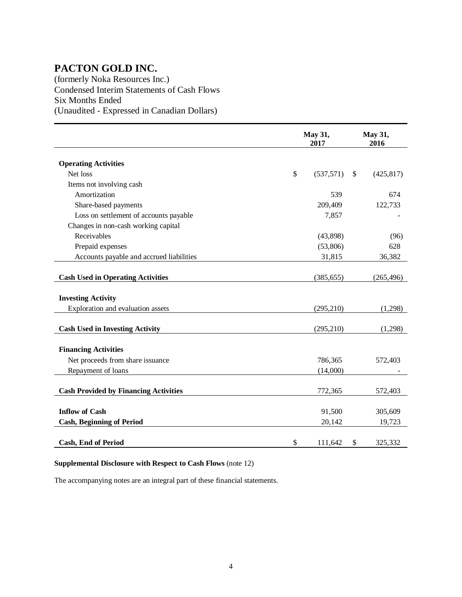(formerly Noka Resources Inc.) Condensed Interim Statements of Cash Flows Six Months Ended (Unaudited - Expressed in Canadian Dollars)

|                                              |               | May 31,<br>2017 |               | May 31,<br>2016 |
|----------------------------------------------|---------------|-----------------|---------------|-----------------|
| <b>Operating Activities</b>                  |               |                 |               |                 |
| Net loss                                     | $\mathsf{\$}$ | (537, 571)      | <sup>\$</sup> | (425, 817)      |
| Items not involving cash                     |               |                 |               |                 |
| Amortization                                 |               | 539             |               | 674             |
| Share-based payments                         |               | 209,409         |               | 122,733         |
| Loss on settlement of accounts payable       |               | 7,857           |               |                 |
| Changes in non-cash working capital          |               |                 |               |                 |
| Receivables                                  |               | (43,898)        |               | (96)            |
| Prepaid expenses                             |               | (53,806)        |               | 628             |
| Accounts payable and accrued liabilities     |               | 31,815          |               | 36,382          |
|                                              |               |                 |               |                 |
| <b>Cash Used in Operating Activities</b>     |               | (385, 655)      |               | (265, 496)      |
| <b>Investing Activity</b>                    |               |                 |               |                 |
| Exploration and evaluation assets            |               | (295, 210)      |               | (1,298)         |
|                                              |               |                 |               |                 |
| <b>Cash Used in Investing Activity</b>       |               | (295, 210)      |               | (1,298)         |
|                                              |               |                 |               |                 |
| <b>Financing Activities</b>                  |               |                 |               |                 |
| Net proceeds from share issuance             |               | 786,365         |               | 572,403         |
| Repayment of loans                           |               | (14,000)        |               |                 |
| <b>Cash Provided by Financing Activities</b> |               | 772,365         |               | 572,403         |
|                                              |               |                 |               |                 |
| <b>Inflow of Cash</b>                        |               | 91,500          |               | 305,609         |
| <b>Cash, Beginning of Period</b>             |               | 20,142          |               | 19,723          |
|                                              |               |                 |               |                 |
| <b>Cash, End of Period</b>                   | \$            | 111,642         | \$            | 325,332         |

### **Supplemental Disclosure with Respect to Cash Flows** (note 12)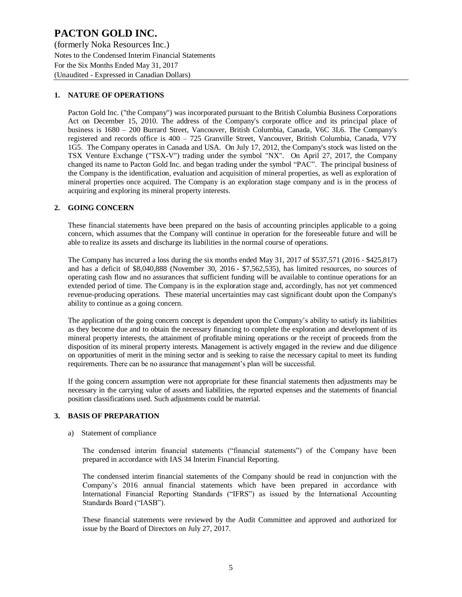(formerly Noka Resources Inc.) Notes to the Condensed Interim Financial Statements For the Six Months Ended May 31, 2017 (Unaudited - Expressed in Canadian Dollars)

### **1. NATURE OF OPERATIONS**

Pacton Gold Inc. ("the Company") was incorporated pursuant to the British Columbia Business Corporations Act on December 15, 2010. The address of the Company's corporate office and its principal place of business is 1680 – 200 Burrard Street, Vancouver, British Columbia, Canada, V6C 3L6. The Company's registered and records office is 400 – 725 Granville Street, Vancouver, British Columbia, Canada, V7Y 1G5. The Company operates in Canada and USA. On July 17, 2012, the Company's stock was listed on the TSX Venture Exchange ("TSX-V") trading under the symbol "NX". On April 27, 2017, the Company changed its name to Pacton Gold Inc. and began trading under the symbol "PAC". The principal business of the Company is the identification, evaluation and acquisition of mineral properties, as well as exploration of mineral properties once acquired. The Company is an exploration stage company and is in the process of acquiring and exploring its mineral property interests.

#### **2. GOING CONCERN**

These financial statements have been prepared on the basis of accounting principles applicable to a going concern, which assumes that the Company will continue in operation for the foreseeable future and will be able to realize its assets and discharge its liabilities in the normal course of operations.

The Company has incurred a loss during the six months ended May 31, 2017 of \$537,571 (2016 - \$425,817) and has a deficit of \$8,040,888 (November 30, 2016 - \$7,562,535), has limited resources, no sources of operating cash flow and no assurances that sufficient funding will be available to continue operations for an extended period of time. The Company is in the exploration stage and, accordingly, has not yet commenced revenue-producing operations. These material uncertainties may cast significant doubt upon the Company's ability to continue as a going concern.

The application of the going concern concept is dependent upon the Company's ability to satisfy its liabilities as they become due and to obtain the necessary financing to complete the exploration and development of its mineral property interests, the attainment of profitable mining operations or the receipt of proceeds from the disposition of its mineral property interests. Management is actively engaged in the review and due diligence on opportunities of merit in the mining sector and is seeking to raise the necessary capital to meet its funding requirements. There can be no assurance that management's plan will be successful.

If the going concern assumption were not appropriate for these financial statements then adjustments may be necessary in the carrying value of assets and liabilities, the reported expenses and the statements of financial position classifications used. Such adjustments could be material.

#### **3. BASIS OF PREPARATION**

#### a) Statement of compliance

The condensed interim financial statements ("financial statements") of the Company have been prepared in accordance with IAS 34 Interim Financial Reporting.

The condensed interim financial statements of the Company should be read in conjunction with the Company's 2016 annual financial statements which have been prepared in accordance with International Financial Reporting Standards ("IFRS") as issued by the International Accounting Standards Board ("IASB").

These financial statements were reviewed by the Audit Committee and approved and authorized for issue by the Board of Directors on July 27, 2017.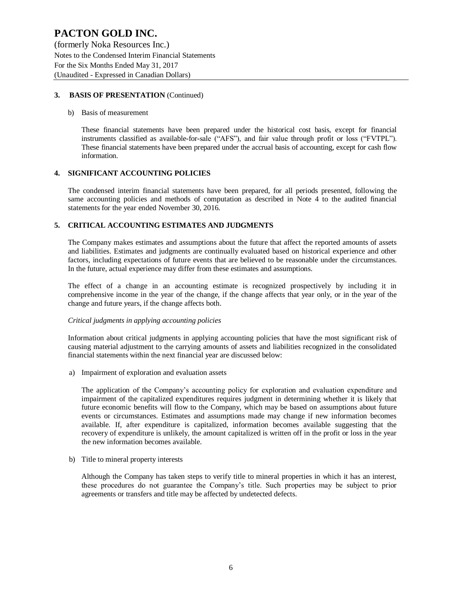(formerly Noka Resources Inc.) Notes to the Condensed Interim Financial Statements For the Six Months Ended May 31, 2017 (Unaudited - Expressed in Canadian Dollars)

### **3. BASIS OF PRESENTATION** (Continued)

#### b) Basis of measurement

These financial statements have been prepared under the historical cost basis, except for financial instruments classified as available-for-sale ("AFS"), and fair value through profit or loss ("FVTPL"). These financial statements have been prepared under the accrual basis of accounting, except for cash flow information.

### **4. SIGNIFICANT ACCOUNTING POLICIES**

The condensed interim financial statements have been prepared, for all periods presented, following the same accounting policies and methods of computation as described in Note 4 to the audited financial statements for the year ended November 30, 2016.

### **5. CRITICAL ACCOUNTING ESTIMATES AND JUDGMENTS**

The Company makes estimates and assumptions about the future that affect the reported amounts of assets and liabilities. Estimates and judgments are continually evaluated based on historical experience and other factors, including expectations of future events that are believed to be reasonable under the circumstances. In the future, actual experience may differ from these estimates and assumptions.

The effect of a change in an accounting estimate is recognized prospectively by including it in comprehensive income in the year of the change, if the change affects that year only, or in the year of the change and future years, if the change affects both.

#### *Critical judgments in applying accounting policies*

Information about critical judgments in applying accounting policies that have the most significant risk of causing material adjustment to the carrying amounts of assets and liabilities recognized in the consolidated financial statements within the next financial year are discussed below:

a) Impairment of exploration and evaluation assets

The application of the Company's accounting policy for exploration and evaluation expenditure and impairment of the capitalized expenditures requires judgment in determining whether it is likely that future economic benefits will flow to the Company, which may be based on assumptions about future events or circumstances. Estimates and assumptions made may change if new information becomes available. If, after expenditure is capitalized, information becomes available suggesting that the recovery of expenditure is unlikely, the amount capitalized is written off in the profit or loss in the year the new information becomes available.

b) Title to mineral property interests

Although the Company has taken steps to verify title to mineral properties in which it has an interest, these procedures do not guarantee the Company's title. Such properties may be subject to prior agreements or transfers and title may be affected by undetected defects.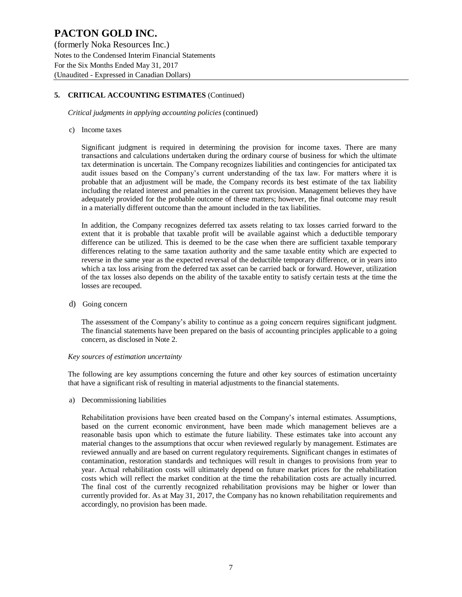(formerly Noka Resources Inc.) Notes to the Condensed Interim Financial Statements For the Six Months Ended May 31, 2017 (Unaudited - Expressed in Canadian Dollars)

### **5. CRITICAL ACCOUNTING ESTIMATES** (Continued)

*Critical judgments in applying accounting policies* (continued)

#### c) Income taxes

Significant judgment is required in determining the provision for income taxes. There are many transactions and calculations undertaken during the ordinary course of business for which the ultimate tax determination is uncertain. The Company recognizes liabilities and contingencies for anticipated tax audit issues based on the Company's current understanding of the tax law. For matters where it is probable that an adjustment will be made, the Company records its best estimate of the tax liability including the related interest and penalties in the current tax provision. Management believes they have adequately provided for the probable outcome of these matters; however, the final outcome may result in a materially different outcome than the amount included in the tax liabilities.

In addition, the Company recognizes deferred tax assets relating to tax losses carried forward to the extent that it is probable that taxable profit will be available against which a deductible temporary difference can be utilized. This is deemed to be the case when there are sufficient taxable temporary differences relating to the same taxation authority and the same taxable entity which are expected to reverse in the same year as the expected reversal of the deductible temporary difference, or in years into which a tax loss arising from the deferred tax asset can be carried back or forward. However, utilization of the tax losses also depends on the ability of the taxable entity to satisfy certain tests at the time the losses are recouped.

d) Going concern

The assessment of the Company's ability to continue as a going concern requires significant judgment. The financial statements have been prepared on the basis of accounting principles applicable to a going concern, as disclosed in Note 2.

#### *Key sources of estimation uncertainty*

The following are key assumptions concerning the future and other key sources of estimation uncertainty that have a significant risk of resulting in material adjustments to the financial statements.

a) Decommissioning liabilities

Rehabilitation provisions have been created based on the Company's internal estimates. Assumptions, based on the current economic environment, have been made which management believes are a reasonable basis upon which to estimate the future liability. These estimates take into account any material changes to the assumptions that occur when reviewed regularly by management. Estimates are reviewed annually and are based on current regulatory requirements. Significant changes in estimates of contamination, restoration standards and techniques will result in changes to provisions from year to year. Actual rehabilitation costs will ultimately depend on future market prices for the rehabilitation costs which will reflect the market condition at the time the rehabilitation costs are actually incurred. The final cost of the currently recognized rehabilitation provisions may be higher or lower than currently provided for. As at May 31, 2017, the Company has no known rehabilitation requirements and accordingly, no provision has been made.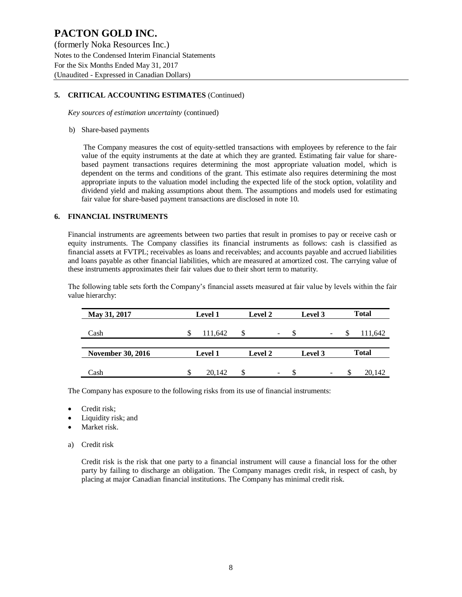(formerly Noka Resources Inc.) Notes to the Condensed Interim Financial Statements For the Six Months Ended May 31, 2017 (Unaudited - Expressed in Canadian Dollars)

### **5. CRITICAL ACCOUNTING ESTIMATES** (Continued)

*Key sources of estimation uncertainty* (continued)

#### b) Share-based payments

The Company measures the cost of equity-settled transactions with employees by reference to the fair value of the equity instruments at the date at which they are granted. Estimating fair value for sharebased payment transactions requires determining the most appropriate valuation model, which is dependent on the terms and conditions of the grant. This estimate also requires determining the most appropriate inputs to the valuation model including the expected life of the stock option, volatility and dividend yield and making assumptions about them. The assumptions and models used for estimating fair value for share-based payment transactions are disclosed in note 10.

#### **6. FINANCIAL INSTRUMENTS**

Financial instruments are agreements between two parties that result in promises to pay or receive cash or equity instruments. The Company classifies its financial instruments as follows: cash is classified as financial assets at FVTPL; receivables as loans and receivables; and accounts payable and accrued liabilities and loans payable as other financial liabilities, which are measured at amortized cost. The carrying value of these instruments approximates their fair values due to their short term to maturity.

The following table sets forth the Company's financial assets measured at fair value by levels within the fair value hierarchy:

| May 31, 2017             | <b>Level 1</b> | Level 2                        | Level 3            | <b>Total</b> |
|--------------------------|----------------|--------------------------------|--------------------|--------------|
| Cash                     | 111,642        | \$<br>$\overline{\phantom{0}}$ | <b>S</b><br>$\sim$ | 111,642      |
| <b>November 30, 2016</b> | <b>Level 1</b> | <b>Level 2</b><br>Level 3      |                    | <b>Total</b> |
| Cash                     | 20.142<br>S    | S<br>$\overline{\phantom{0}}$  | \$.<br>۰           | 20,142       |

The Company has exposure to the following risks from its use of financial instruments:

- Credit risk;
- Liquidity risk; and
- Market risk.
- a) Credit risk

Credit risk is the risk that one party to a financial instrument will cause a financial loss for the other party by failing to discharge an obligation. The Company manages credit risk, in respect of cash, by placing at major Canadian financial institutions. The Company has minimal credit risk.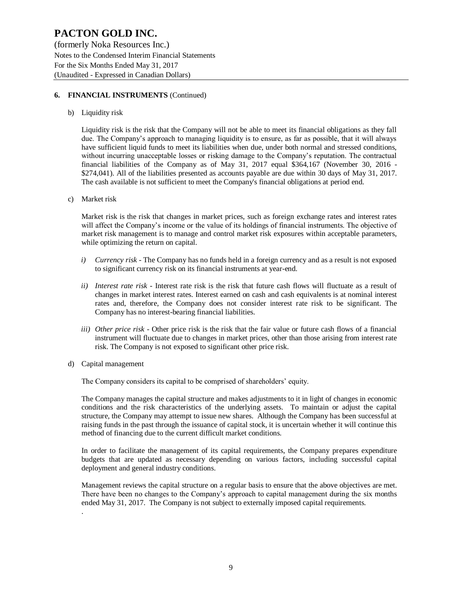(formerly Noka Resources Inc.) Notes to the Condensed Interim Financial Statements For the Six Months Ended May 31, 2017 (Unaudited - Expressed in Canadian Dollars)

### **6. FINANCIAL INSTRUMENTS** (Continued)

b) Liquidity risk

Liquidity risk is the risk that the Company will not be able to meet its financial obligations as they fall due. The Company's approach to managing liquidity is to ensure, as far as possible, that it will always have sufficient liquid funds to meet its liabilities when due, under both normal and stressed conditions, without incurring unacceptable losses or risking damage to the Company's reputation. The contractual financial liabilities of the Company as of May 31, 2017 equal \$364,167 (November 30, 2016 - \$274,041). All of the liabilities presented as accounts payable are due within 30 days of May 31, 2017. The cash available is not sufficient to meet the Company's financial obligations at period end.

c) Market risk

Market risk is the risk that changes in market prices, such as foreign exchange rates and interest rates will affect the Company's income or the value of its holdings of financial instruments. The objective of market risk management is to manage and control market risk exposures within acceptable parameters, while optimizing the return on capital.

- *i) Currency risk* The Company has no funds held in a foreign currency and as a result is not exposed to significant currency risk on its financial instruments at year-end.
- *ii) Interest rate risk -* Interest rate risk is the risk that future cash flows will fluctuate as a result of changes in market interest rates. Interest earned on cash and cash equivalents is at nominal interest rates and, therefore, the Company does not consider interest rate risk to be significant. The Company has no interest-bearing financial liabilities.
- *iii) Other price risk -* Other price risk is the risk that the fair value or future cash flows of a financial instrument will fluctuate due to changes in market prices, other than those arising from interest rate risk. The Company is not exposed to significant other price risk.
- d) Capital management

.

The Company considers its capital to be comprised of shareholders' equity.

The Company manages the capital structure and makes adjustments to it in light of changes in economic conditions and the risk characteristics of the underlying assets. To maintain or adjust the capital structure, the Company may attempt to issue new shares. Although the Company has been successful at raising funds in the past through the issuance of capital stock, it is uncertain whether it will continue this method of financing due to the current difficult market conditions.

In order to facilitate the management of its capital requirements, the Company prepares expenditure budgets that are updated as necessary depending on various factors, including successful capital deployment and general industry conditions.

Management reviews the capital structure on a regular basis to ensure that the above objectives are met. There have been no changes to the Company's approach to capital management during the six months ended May 31, 2017. The Company is not subject to externally imposed capital requirements.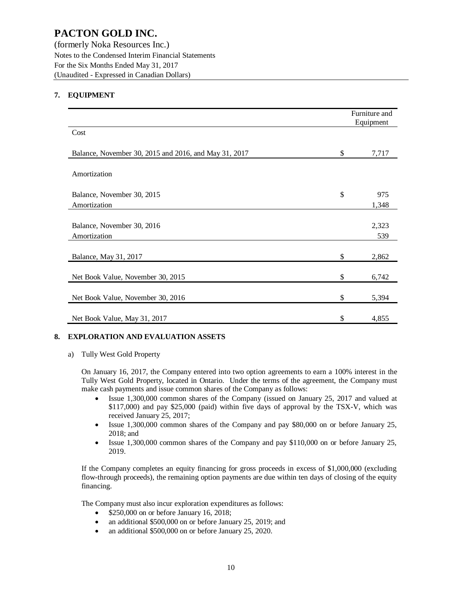(formerly Noka Resources Inc.) Notes to the Condensed Interim Financial Statements For the Six Months Ended May 31, 2017 (Unaudited - Expressed in Canadian Dollars)

### **7. EQUIPMENT**

|                                                             | Furniture and<br>Equipment |
|-------------------------------------------------------------|----------------------------|
| Cost                                                        |                            |
| \$<br>Balance, November 30, 2015 and 2016, and May 31, 2017 | 7,717                      |
| Amortization                                                |                            |
| \$<br>Balance, November 30, 2015                            | 975                        |
| Amortization                                                | 1,348                      |
| Balance, November 30, 2016<br>Amortization                  | 2,323<br>539               |
| \$<br>Balance, May 31, 2017                                 | 2,862                      |
| \$<br>Net Book Value, November 30, 2015                     | 6,742                      |
| \$<br>Net Book Value, November 30, 2016                     | 5,394                      |
| \$<br>Net Book Value, May 31, 2017                          | 4,855                      |

### **8. EXPLORATION AND EVALUATION ASSETS**

a) Tully West Gold Property

On January 16, 2017, the Company entered into two option agreements to earn a 100% interest in the Tully West Gold Property, located in Ontario. Under the terms of the agreement, the Company must make cash payments and issue common shares of the Company as follows:

- Issue 1,300,000 common shares of the Company (issued on January 25, 2017 and valued at \$117,000) and pay \$25,000 (paid) within five days of approval by the TSX-V, which was received January 25, 2017;
- Issue 1,300,000 common shares of the Company and pay \$80,000 on or before January 25, 2018; and
- Issue 1,300,000 common shares of the Company and pay \$110,000 on or before January 25, 2019.

If the Company completes an equity financing for gross proceeds in excess of \$1,000,000 (excluding flow-through proceeds), the remaining option payments are due within ten days of closing of the equity financing.

The Company must also incur exploration expenditures as follows:

- \$250,000 on or before January 16, 2018;
- an additional \$500,000 on or before January 25, 2019; and
- an additional \$500,000 on or before January 25, 2020.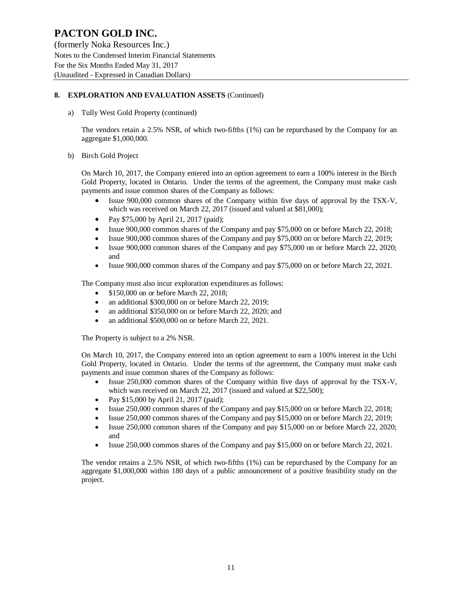(formerly Noka Resources Inc.) Notes to the Condensed Interim Financial Statements For the Six Months Ended May 31, 2017 (Unaudited - Expressed in Canadian Dollars)

### **8. EXPLORATION AND EVALUATION ASSETS** (Continued)

a) Tully West Gold Property (continued)

The vendors retain a 2.5% NSR, of which two-fifths (1%) can be repurchased by the Company for an aggregate \$1,000,000.

b) Birch Gold Project

On March 10, 2017, the Company entered into an option agreement to earn a 100% interest in the Birch Gold Property, located in Ontario. Under the terms of the agreement, the Company must make cash payments and issue common shares of the Company as follows:

- Issue 900,000 common shares of the Company within five days of approval by the TSX-V, which was received on March 22, 2017 (issued and valued at \$81,000);
- Pay \$75,000 by April 21, 2017 (paid);
- Issue 900,000 common shares of the Company and pay \$75,000 on or before March 22, 2018;
- Issue 900,000 common shares of the Company and pay \$75,000 on or before March 22, 2019;
- Issue 900,000 common shares of the Company and pay \$75,000 on or before March 22, 2020; and
- Issue 900,000 common shares of the Company and pay \$75,000 on or before March 22, 2021.

The Company must also incur exploration expenditures as follows:

- \$150,000 on or before March 22, 2018;
- an additional \$300,000 on or before March 22, 2019;
- an additional \$350,000 on or before March 22, 2020; and
- an additional \$500,000 on or before March 22, 2021.

The Property is subject to a 2% NSR.

On March 10, 2017, the Company entered into an option agreement to earn a 100% interest in the Uchi Gold Property, located in Ontario. Under the terms of the agreement, the Company must make cash payments and issue common shares of the Company as follows:

- Issue 250,000 common shares of the Company within five days of approval by the TSX-V, which was received on March 22, 2017 (issued and valued at \$22,500);
- Pay \$15,000 by April 21, 2017 (paid);
- Issue 250,000 common shares of the Company and pay \$15,000 on or before March 22, 2018;
- Issue 250,000 common shares of the Company and pay \$15,000 on or before March 22, 2019;
- Issue 250,000 common shares of the Company and pay \$15,000 on or before March 22, 2020; and
- Issue 250,000 common shares of the Company and pay \$15,000 on or before March 22, 2021.

The vendor retains a 2.5% NSR, of which two-fifths (1%) can be repurchased by the Company for an aggregate \$1,000,000 within 180 days of a public announcement of a positive feasibility study on the project.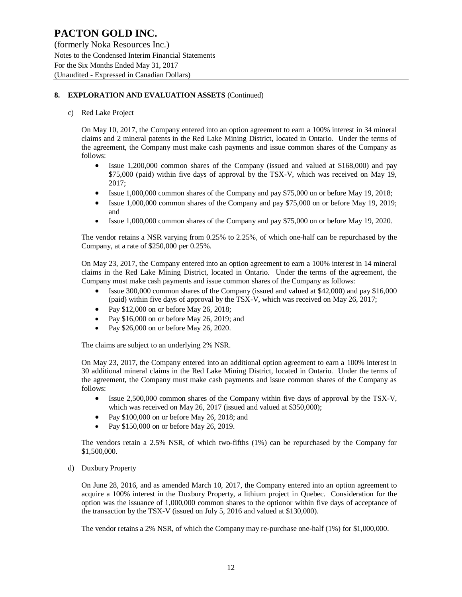(formerly Noka Resources Inc.) Notes to the Condensed Interim Financial Statements For the Six Months Ended May 31, 2017 (Unaudited - Expressed in Canadian Dollars)

### **8. EXPLORATION AND EVALUATION ASSETS** (Continued)

#### c) Red Lake Project

On May 10, 2017, the Company entered into an option agreement to earn a 100% interest in 34 mineral claims and 2 mineral patents in the Red Lake Mining District, located in Ontario. Under the terms of the agreement, the Company must make cash payments and issue common shares of the Company as follows:

- Issue 1,200,000 common shares of the Company (issued and valued at \$168,000) and pay \$75,000 (paid) within five days of approval by the TSX-V, which was received on May 19, 2017;
- Issue 1,000,000 common shares of the Company and pay \$75,000 on or before May 19, 2018;
- Issue 1,000,000 common shares of the Company and pay \$75,000 on or before May 19, 2019; and
- Issue 1,000,000 common shares of the Company and pay \$75,000 on or before May 19, 2020.

The vendor retains a NSR varying from 0.25% to 2.25%, of which one-half can be repurchased by the Company, at a rate of \$250,000 per 0.25%.

On May 23, 2017, the Company entered into an option agreement to earn a 100% interest in 14 mineral claims in the Red Lake Mining District, located in Ontario. Under the terms of the agreement, the Company must make cash payments and issue common shares of the Company as follows:

- Issue 300,000 common shares of the Company (issued and valued at \$42,000) and pay \$16,000 (paid) within five days of approval by the TSX-V, which was received on May 26, 2017;
- Pay \$12,000 on or before May 26, 2018;
- Pay \$16,000 on or before May 26, 2019; and
- Pay \$26,000 on or before May 26, 2020.

The claims are subject to an underlying 2% NSR.

On May 23, 2017, the Company entered into an additional option agreement to earn a 100% interest in 30 additional mineral claims in the Red Lake Mining District, located in Ontario. Under the terms of the agreement, the Company must make cash payments and issue common shares of the Company as follows:

- Issue 2,500,000 common shares of the Company within five days of approval by the TSX-V, which was received on May 26, 2017 (issued and valued at \$350,000);
- Pay \$100,000 on or before May 26, 2018; and
- Pay \$150,000 on or before May 26, 2019.

The vendors retain a 2.5% NSR, of which two-fifths (1%) can be repurchased by the Company for \$1,500,000.

d) Duxbury Property

On June 28, 2016, and as amended March 10, 2017, the Company entered into an option agreement to acquire a 100% interest in the Duxbury Property, a lithium project in Quebec. Consideration for the option was the issuance of 1,000,000 common shares to the optionor within five days of acceptance of the transaction by the TSX-V (issued on July 5, 2016 and valued at \$130,000).

The vendor retains a 2% NSR, of which the Company may re-purchase one-half (1%) for \$1,000,000.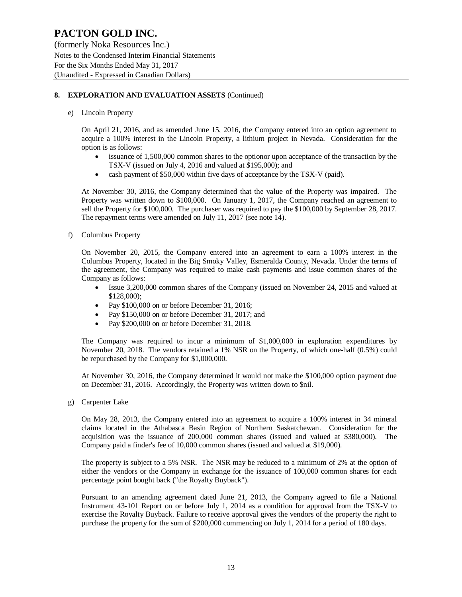(formerly Noka Resources Inc.) Notes to the Condensed Interim Financial Statements For the Six Months Ended May 31, 2017 (Unaudited - Expressed in Canadian Dollars)

### **8. EXPLORATION AND EVALUATION ASSETS** (Continued)

e) Lincoln Property

On April 21, 2016, and as amended June 15, 2016, the Company entered into an option agreement to acquire a 100% interest in the Lincoln Property, a lithium project in Nevada. Consideration for the option is as follows:

- issuance of 1,500,000 common shares to the optionor upon acceptance of the transaction by the TSX-V (issued on July 4, 2016 and valued at \$195,000); and
- cash payment of \$50,000 within five days of acceptance by the TSX-V (paid).

At November 30, 2016, the Company determined that the value of the Property was impaired. The Property was written down to \$100,000. On January 1, 2017, the Company reached an agreement to sell the Property for \$100,000. The purchaser was required to pay the \$100,000 by September 28, 2017. The repayment terms were amended on July 11, 2017 (see note 14).

f) Columbus Property

On November 20, 2015, the Company entered into an agreement to earn a 100% interest in the Columbus Property, located in the Big Smoky Valley, Esmeralda County, Nevada. Under the terms of the agreement, the Company was required to make cash payments and issue common shares of the Company as follows:

- Issue 3,200,000 common shares of the Company (issued on November 24, 2015 and valued at \$128,000);
- Pay \$100,000 on or before December 31, 2016;
- Pay \$150,000 on or before December 31, 2017; and
- Pay \$200,000 on or before December 31, 2018.

The Company was required to incur a minimum of \$1,000,000 in exploration expenditures by November 20, 2018. The vendors retained a 1% NSR on the Property, of which one-half (0.5%) could be repurchased by the Company for \$1,000,000.

At November 30, 2016, the Company determined it would not make the \$100,000 option payment due on December 31, 2016. Accordingly, the Property was written down to \$nil.

g) Carpenter Lake

On May 28, 2013, the Company entered into an agreement to acquire a 100% interest in 34 mineral claims located in the Athabasca Basin Region of Northern Saskatchewan. Consideration for the acquisition was the issuance of 200,000 common shares (issued and valued at \$380,000). The Company paid a finder's fee of 10,000 common shares (issued and valued at \$19,000).

The property is subject to a 5% NSR. The NSR may be reduced to a minimum of 2% at the option of either the vendors or the Company in exchange for the issuance of 100,000 common shares for each percentage point bought back ("the Royalty Buyback").

Pursuant to an amending agreement dated June 21, 2013, the Company agreed to file a National Instrument 43-101 Report on or before July 1, 2014 as a condition for approval from the TSX-V to exercise the Royalty Buyback. Failure to receive approval gives the vendors of the property the right to purchase the property for the sum of \$200,000 commencing on July 1, 2014 for a period of 180 days.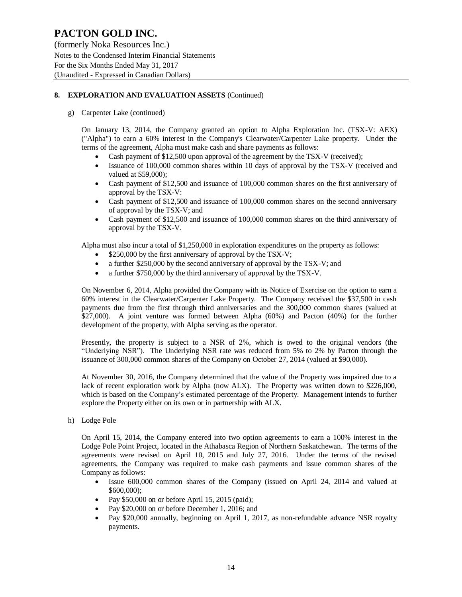(formerly Noka Resources Inc.) Notes to the Condensed Interim Financial Statements For the Six Months Ended May 31, 2017 (Unaudited - Expressed in Canadian Dollars)

### **8. EXPLORATION AND EVALUATION ASSETS** (Continued)

g) Carpenter Lake (continued)

On January 13, 2014, the Company granted an option to Alpha Exploration Inc. (TSX-V: AEX) ("Alpha") to earn a 60% interest in the Company's Clearwater/Carpenter Lake property. Under the terms of the agreement, Alpha must make cash and share payments as follows:

- Cash payment of \$12,500 upon approval of the agreement by the TSX-V (received);
- Issuance of 100,000 common shares within 10 days of approval by the TSX-V (received and valued at \$59,000);
- Cash payment of \$12,500 and issuance of 100,000 common shares on the first anniversary of approval by the TSX-V:
- Cash payment of \$12,500 and issuance of 100,000 common shares on the second anniversary of approval by the TSX-V; and
- Cash payment of \$12,500 and issuance of 100,000 common shares on the third anniversary of approval by the TSX-V.

Alpha must also incur a total of \$1,250,000 in exploration expenditures on the property as follows:

- \$250,000 by the first anniversary of approval by the TSX-V;
- a further \$250,000 by the second anniversary of approval by the TSX-V; and
- a further \$750,000 by the third anniversary of approval by the TSX-V.

On November 6, 2014, Alpha provided the Company with its Notice of Exercise on the option to earn a 60% interest in the Clearwater/Carpenter Lake Property. The Company received the \$37,500 in cash payments due from the first through third anniversaries and the 300,000 common shares (valued at \$27,000). A joint venture was formed between Alpha (60%) and Pacton (40%) for the further development of the property, with Alpha serving as the operator.

Presently, the property is subject to a NSR of 2%, which is owed to the original vendors (the "Underlying NSR"). The Underlying NSR rate was reduced from 5% to 2% by Pacton through the issuance of 300,000 common shares of the Company on October 27, 2014 (valued at \$90,000).

At November 30, 2016, the Company determined that the value of the Property was impaired due to a lack of recent exploration work by Alpha (now ALX). The Property was written down to \$226,000, which is based on the Company's estimated percentage of the Property. Management intends to further explore the Property either on its own or in partnership with ALX.

h) Lodge Pole

On April 15, 2014, the Company entered into two option agreements to earn a 100% interest in the Lodge Pole Point Project, located in the Athabasca Region of Northern Saskatchewan. The terms of the agreements were revised on April 10, 2015 and July 27, 2016. Under the terms of the revised agreements, the Company was required to make cash payments and issue common shares of the Company as follows:

- Issue 600,000 common shares of the Company (issued on April 24, 2014 and valued at \$600,000);
- Pay  $$50,000$  on or before April 15, 2015 (paid);
- Pay \$20,000 on or before December 1, 2016; and
- Pay \$20,000 annually, beginning on April 1, 2017, as non-refundable advance NSR royalty payments.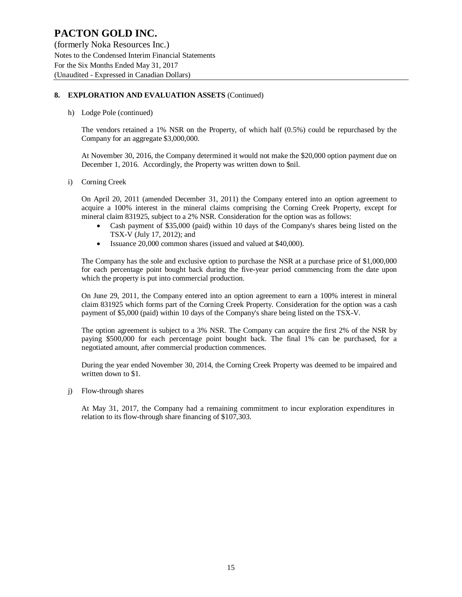(formerly Noka Resources Inc.) Notes to the Condensed Interim Financial Statements For the Six Months Ended May 31, 2017 (Unaudited - Expressed in Canadian Dollars)

### **8. EXPLORATION AND EVALUATION ASSETS** (Continued)

h) Lodge Pole (continued)

The vendors retained a 1% NSR on the Property, of which half (0.5%) could be repurchased by the Company for an aggregate \$3,000,000.

At November 30, 2016, the Company determined it would not make the \$20,000 option payment due on December 1, 2016. Accordingly, the Property was written down to \$nil.

i) Corning Creek

On April 20, 2011 (amended December 31, 2011) the Company entered into an option agreement to acquire a 100% interest in the mineral claims comprising the Corning Creek Property, except for mineral claim 831925, subject to a 2% NSR. Consideration for the option was as follows:

- Cash payment of \$35,000 (paid) within 10 days of the Company's shares being listed on the TSX-V (July 17, 2012); and
- Issuance 20,000 common shares (issued and valued at \$40,000).

The Company has the sole and exclusive option to purchase the NSR at a purchase price of \$1,000,000 for each percentage point bought back during the five-year period commencing from the date upon which the property is put into commercial production.

On June 29, 2011, the Company entered into an option agreement to earn a 100% interest in mineral claim 831925 which forms part of the Corning Creek Property. Consideration for the option was a cash payment of \$5,000 (paid) within 10 days of the Company's share being listed on the TSX-V.

The option agreement is subject to a 3% NSR. The Company can acquire the first 2% of the NSR by paying \$500,000 for each percentage point bought back. The final 1% can be purchased, for a negotiated amount, after commercial production commences.

During the year ended November 30, 2014, the Corning Creek Property was deemed to be impaired and written down to \$1.

j) Flow-through shares

At May 31, 2017, the Company had a remaining commitment to incur exploration expenditures in relation to its flow-through share financing of \$107,303.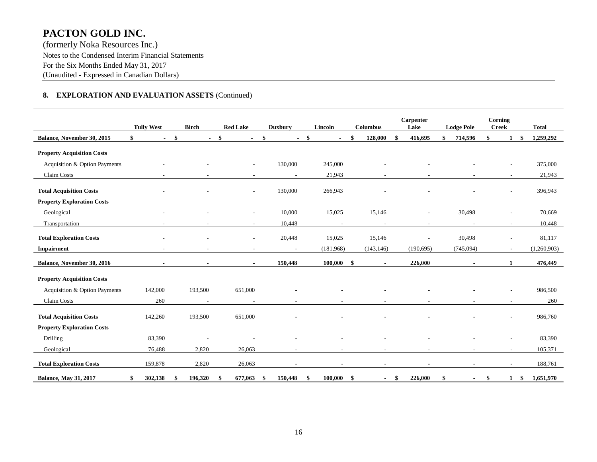(formerly Noka Resources Inc.) Notes to the Condensed Interim Financial Statements For the Six Months Ended May 31, 2017 (Unaudited - Expressed in Canadian Dollars)

### **8. EXPLORATION AND EVALUATION ASSETS** (Continued)

|                                   | <b>Tully West</b>    |    | <b>Birch</b> |    | <b>Red Lake</b>          |     | <b>Duxbury</b>           |        | Lincoln                  |     | <b>Columbus</b>          |     | Carpenter<br>Lake        | <b>Lodge Pole</b>        | Corning<br><b>Creek</b>  |      | <b>Total</b> |
|-----------------------------------|----------------------|----|--------------|----|--------------------------|-----|--------------------------|--------|--------------------------|-----|--------------------------|-----|--------------------------|--------------------------|--------------------------|------|--------------|
| Balance, November 30, 2015        | \$<br>$\blacksquare$ | \$ | $\sim 100$   | \$ | $\blacksquare$           | \$  |                          | $-$ \$ | $\blacksquare$           | \$  | 128,000                  | \$  | 416,695                  | 714,596                  | \$<br>$\mathbf{1}$       | - \$ | 1,259,292    |
| <b>Property Acquisition Costs</b> |                      |    |              |    |                          |     |                          |        |                          |     |                          |     |                          |                          |                          |      |              |
| Acquisition & Option Payments     |                      |    |              |    | $\overline{\phantom{a}}$ |     | 130,000                  |        | 245,000                  |     |                          |     |                          |                          | $\overline{\phantom{a}}$ |      | 375,000      |
| Claim Costs                       |                      |    |              |    | $\overline{\phantom{a}}$ |     | $\overline{\phantom{a}}$ |        | 21,943                   |     |                          |     | $\overline{\phantom{a}}$ |                          | $\overline{\phantom{a}}$ |      | 21,943       |
| <b>Total Acquisition Costs</b>    |                      |    |              |    |                          |     | 130,000                  |        | 266,943                  |     |                          |     |                          |                          |                          |      | 396,943      |
| <b>Property Exploration Costs</b> |                      |    |              |    |                          |     |                          |        |                          |     |                          |     |                          |                          |                          |      |              |
| Geological                        |                      |    |              |    |                          |     | 10,000                   |        | 15,025                   |     | 15,146                   |     |                          | 30,498                   |                          |      | 70,669       |
| Transportation                    |                      |    |              |    | $\sim$                   |     | 10,448                   |        | $\overline{\phantom{a}}$ |     |                          |     | $\sim$                   | $\overline{\phantom{a}}$ | $\sim$                   |      | 10,448       |
| <b>Total Exploration Costs</b>    |                      |    |              |    |                          |     | 20,448                   |        | 15,025                   |     | 15,146                   |     |                          | 30,498                   | $\blacksquare$           |      | 81,117       |
| Impairment                        |                      |    |              |    |                          |     |                          |        | (181,968)                |     | (143, 146)               |     | (190, 695)               | (745,094)                | $\blacksquare$           |      | (1,260,903)  |
| Balance, November 30, 2016        | $\sim$               |    |              |    | $\sim$                   |     | 150,448                  |        | 100,000                  | \$  |                          |     | 226,000                  | $\sim$                   | 1                        |      | 476,449      |
| <b>Property Acquisition Costs</b> |                      |    |              |    |                          |     |                          |        |                          |     |                          |     |                          |                          |                          |      |              |
| Acquisition & Option Payments     | 142,000              |    | 193,500      |    | 651,000                  |     |                          |        |                          |     |                          |     |                          |                          |                          |      | 986,500      |
| Claim Costs                       | 260                  |    | $\sim$       |    | $\overline{\phantom{a}}$ |     |                          |        |                          |     |                          |     |                          |                          | $\sim$                   |      | 260          |
| <b>Total Acquisition Costs</b>    | 142,260              |    | 193,500      |    | 651,000                  |     |                          |        |                          |     |                          |     |                          |                          | ÷,                       |      | 986,760      |
| <b>Property Exploration Costs</b> |                      |    |              |    |                          |     |                          |        |                          |     |                          |     |                          |                          |                          |      |              |
| Drilling                          | 83,390               |    |              |    |                          |     |                          |        |                          |     |                          |     |                          |                          |                          |      | 83,390       |
| Geological                        | 76,488               |    | 2,820        |    | 26,063                   |     |                          |        | $\overline{\phantom{a}}$ |     | $\overline{\phantom{a}}$ |     | $\overline{\phantom{a}}$ | $\overline{\phantom{a}}$ | $\overline{\phantom{a}}$ |      | 105,371      |
| <b>Total Exploration Costs</b>    | 159,878              |    | 2,820        |    | 26,063                   |     |                          |        |                          |     |                          |     |                          | $\overline{\phantom{a}}$ |                          |      | 188,761      |
| <b>Balance, May 31, 2017</b>      | 302,138              | S  | 196,320      | S  | 677,063                  | -\$ | 150,448                  | \$     | 100,000                  | -\$ | $\sim$                   | -\$ | 226,000                  | \$<br>$\sim$             | \$<br>$1 \quad$          |      | 1,651,970    |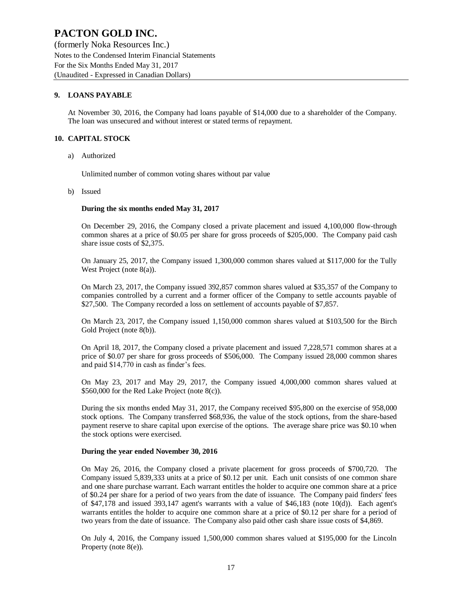(formerly Noka Resources Inc.) Notes to the Condensed Interim Financial Statements For the Six Months Ended May 31, 2017 (Unaudited - Expressed in Canadian Dollars)

### **9. LOANS PAYABLE**

At November 30, 2016, the Company had loans payable of \$14,000 due to a shareholder of the Company. The loan was unsecured and without interest or stated terms of repayment.

#### **10. CAPITAL STOCK**

a) Authorized

Unlimited number of common voting shares without par value

b) Issued

#### **During the six months ended May 31, 2017**

On December 29, 2016, the Company closed a private placement and issued 4,100,000 flow-through common shares at a price of \$0.05 per share for gross proceeds of \$205,000. The Company paid cash share issue costs of \$2,375.

On January 25, 2017, the Company issued 1,300,000 common shares valued at \$117,000 for the Tully West Project (note 8(a)).

On March 23, 2017, the Company issued 392,857 common shares valued at \$35,357 of the Company to companies controlled by a current and a former officer of the Company to settle accounts payable of \$27,500. The Company recorded a loss on settlement of accounts payable of \$7,857.

On March 23, 2017, the Company issued 1,150,000 common shares valued at \$103,500 for the Birch Gold Project (note 8(b)).

On April 18, 2017, the Company closed a private placement and issued 7,228,571 common shares at a price of \$0.07 per share for gross proceeds of \$506,000. The Company issued 28,000 common shares and paid \$14,770 in cash as finder's fees.

On May 23, 2017 and May 29, 2017, the Company issued 4,000,000 common shares valued at \$560,000 for the Red Lake Project (note 8(c)).

During the six months ended May 31, 2017, the Company received \$95,800 on the exercise of 958,000 stock options. The Company transferred \$68,936, the value of the stock options, from the share-based payment reserve to share capital upon exercise of the options. The average share price was \$0.10 when the stock options were exercised.

#### **During the year ended November 30, 2016**

On May 26, 2016, the Company closed a private placement for gross proceeds of \$700,720. The Company issued 5,839,333 units at a price of \$0.12 per unit. Each unit consists of one common share and one share purchase warrant. Each warrant entitles the holder to acquire one common share at a price of \$0.24 per share for a period of two years from the date of issuance. The Company paid finders' fees of \$47,178 and issued 393,147 agent's warrants with a value of \$46,183 (note 10(d)). Each agent's warrants entitles the holder to acquire one common share at a price of \$0.12 per share for a period of two years from the date of issuance. The Company also paid other cash share issue costs of \$4,869.

On July 4, 2016, the Company issued 1,500,000 common shares valued at \$195,000 for the Lincoln Property (note 8(e)).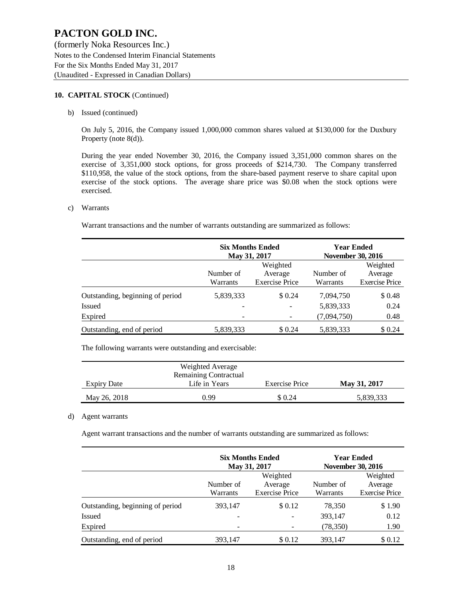(formerly Noka Resources Inc.) Notes to the Condensed Interim Financial Statements For the Six Months Ended May 31, 2017 (Unaudited - Expressed in Canadian Dollars)

#### **10. CAPITAL STOCK** (Continued)

b) Issued (continued)

On July 5, 2016, the Company issued 1,000,000 common shares valued at \$130,000 for the Duxbury Property (note 8(d)).

During the year ended November 30, 2016, the Company issued 3,351,000 common shares on the exercise of 3,351,000 stock options, for gross proceeds of \$214,730. The Company transferred \$110,958, the value of the stock options, from the share-based payment reserve to share capital upon exercise of the stock options. The average share price was \$0.08 when the stock options were exercised.

#### c) Warrants

Warrant transactions and the number of warrants outstanding are summarized as follows:

|                                  |           | <b>Six Months Ended</b><br>May 31, 2017 | <b>Year Ended</b><br><b>November 30, 2016</b> |                       |
|----------------------------------|-----------|-----------------------------------------|-----------------------------------------------|-----------------------|
|                                  |           | Weighted                                |                                               | Weighted              |
|                                  | Number of | Average                                 | Number of                                     | Average               |
|                                  | Warrants  | <b>Exercise Price</b>                   | Warrants                                      | <b>Exercise Price</b> |
| Outstanding, beginning of period | 5,839,333 | \$ 0.24                                 | 7,094,750                                     | \$0.48                |
| Issued                           |           |                                         | 5,839,333                                     | 0.24                  |
| Expired                          |           |                                         | (7,094,750)                                   | 0.48                  |
| Outstanding, end of period       | 5,839,333 | \$ 0.24                                 | 5,839,333                                     | \$0.24                |

The following warrants were outstanding and exercisable:

|                    | Weighted Average             |                |              |
|--------------------|------------------------------|----------------|--------------|
|                    | <b>Remaining Contractual</b> |                |              |
| <b>Expiry Date</b> | Life in Years                | Exercise Price | May 31, 2017 |
| May 26, 2018       | 0.99                         | \$ 0.24        | 5,839,333    |

#### d) Agent warrants

Agent warrant transactions and the number of warrants outstanding are summarized as follows:

|                                  |                       | <b>Six Months Ended</b><br>May 31, 2017 |                                              | <b>Year Ended</b><br><b>November 30, 2016</b> |
|----------------------------------|-----------------------|-----------------------------------------|----------------------------------------------|-----------------------------------------------|
|                                  | Number of<br>Warrants | Number of<br>Warrants                   | Weighted<br>Average<br><b>Exercise Price</b> |                                               |
| Outstanding, beginning of period | 393,147               | \$ 0.12                                 | 78,350                                       | \$1.90                                        |
| <b>Issued</b>                    | $\qquad \qquad$       |                                         | 393,147                                      | 0.12                                          |
| Expired                          | -                     |                                         | (78, 350)                                    | 1.90                                          |
| Outstanding, end of period       | 393.147               | \$ 0.12                                 | 393.147                                      | \$0.12                                        |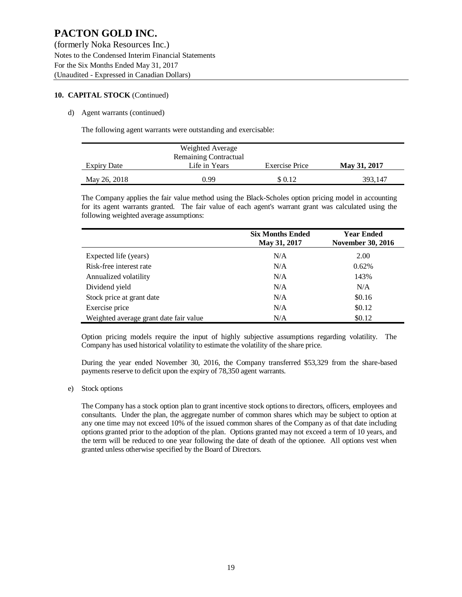(formerly Noka Resources Inc.) Notes to the Condensed Interim Financial Statements For the Six Months Ended May 31, 2017 (Unaudited - Expressed in Canadian Dollars)

#### **10. CAPITAL STOCK** (Continued)

#### d) Agent warrants (continued)

The following agent warrants were outstanding and exercisable:

|                    | Weighted Average      |                |              |
|--------------------|-----------------------|----------------|--------------|
|                    | Remaining Contractual |                |              |
| <b>Expiry Date</b> | Life in Years         | Exercise Price | May 31, 2017 |
| May 26, 2018       | 0.99                  | \$ 0.12        | 393.147      |

The Company applies the fair value method using the Black-Scholes option pricing model in accounting for its agent warrants granted. The fair value of each agent's warrant grant was calculated using the following weighted average assumptions:

|                                        | <b>Six Months Ended</b><br>May 31, 2017 | <b>Year Ended</b><br><b>November 30, 2016</b> |
|----------------------------------------|-----------------------------------------|-----------------------------------------------|
| Expected life (years)                  | N/A                                     | 2.00                                          |
| Risk-free interest rate                | N/A                                     | 0.62%                                         |
| Annualized volatility                  | N/A                                     | 143%                                          |
| Dividend yield                         | N/A                                     | N/A                                           |
| Stock price at grant date              | N/A                                     | \$0.16                                        |
| Exercise price                         | N/A                                     | \$0.12                                        |
| Weighted average grant date fair value | N/A                                     | \$0.12                                        |

Option pricing models require the input of highly subjective assumptions regarding volatility. The Company has used historical volatility to estimate the volatility of the share price.

During the year ended November 30, 2016, the Company transferred \$53,329 from the share-based payments reserve to deficit upon the expiry of 78,350 agent warrants.

e) Stock options

The Company has a stock option plan to grant incentive stock options to directors, officers, employees and consultants. Under the plan, the aggregate number of common shares which may be subject to option at any one time may not exceed 10% of the issued common shares of the Company as of that date including options granted prior to the adoption of the plan. Options granted may not exceed a term of 10 years, and the term will be reduced to one year following the date of death of the optionee. All options vest when granted unless otherwise specified by the Board of Directors.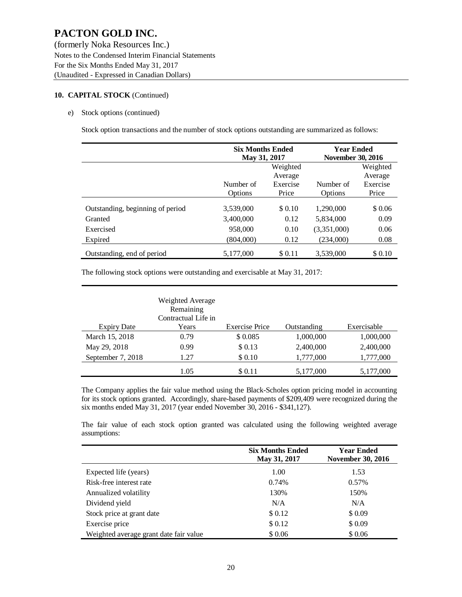(formerly Noka Resources Inc.) Notes to the Condensed Interim Financial Statements For the Six Months Ended May 31, 2017 (Unaudited - Expressed in Canadian Dollars)

### **10. CAPITAL STOCK** (Continued)

#### e) Stock options (continued)

Stock option transactions and the number of stock options outstanding are summarized as follows:

|                                  | <b>Six Months Ended</b><br>May 31, 2017 |          | <b>Year Ended</b><br><b>November 30, 2016</b> |          |  |
|----------------------------------|-----------------------------------------|----------|-----------------------------------------------|----------|--|
|                                  | Weighted                                |          |                                               | Weighted |  |
|                                  |                                         | Average  |                                               | Average  |  |
|                                  | Number of                               | Exercise | Number of                                     | Exercise |  |
|                                  | Options                                 | Price    | Options                                       | Price    |  |
| Outstanding, beginning of period | 3,539,000                               | \$ 0.10  | 1,290,000                                     | \$0.06   |  |
| Granted                          | 3,400,000                               | 0.12     | 5,834,000                                     | 0.09     |  |
| Exercised                        | 958,000                                 | 0.10     | (3,351,000)                                   | 0.06     |  |
| Expired                          | (804,000)                               | 0.12     | (234,000)                                     | 0.08     |  |
| Outstanding, end of period       | 5,177,000                               | \$0.11   | 3,539,000                                     | \$ 0.10  |  |

The following stock options were outstanding and exercisable at May 31, 2017:

|                    | <b>Weighted Average</b><br>Remaining<br>Contractual Life in |                       |             |             |
|--------------------|-------------------------------------------------------------|-----------------------|-------------|-------------|
| <b>Expiry Date</b> | Years                                                       | <b>Exercise Price</b> | Outstanding | Exercisable |
| March 15, 2018     | 0.79                                                        | \$0.085               | 1,000,000   | 1,000,000   |
| May 29, 2018       | 0.99                                                        | \$0.13                | 2,400,000   | 2,400,000   |
| September 7, 2018  | 1.27                                                        | \$0.10                | 1,777,000   | 1,777,000   |
|                    | 1.05                                                        | \$ 0.11               | 5,177,000   | 5,177,000   |

The Company applies the fair value method using the Black-Scholes option pricing model in accounting for its stock options granted. Accordingly, share-based payments of \$209,409 were recognized during the six months ended May 31, 2017 (year ended November 30, 2016 - \$341,127).

The fair value of each stock option granted was calculated using the following weighted average assumptions:

|                                        | <b>Six Months Ended</b><br>May 31, 2017 | <b>Year Ended</b><br><b>November 30, 2016</b> |  |  |
|----------------------------------------|-----------------------------------------|-----------------------------------------------|--|--|
| Expected life (years)                  | 1.00                                    | 1.53                                          |  |  |
| Risk-free interest rate                | 0.74%                                   | 0.57%                                         |  |  |
| Annualized volatility                  | 130%                                    | 150%                                          |  |  |
| Dividend yield                         | N/A                                     | N/A                                           |  |  |
| Stock price at grant date              | \$0.12                                  | \$0.09                                        |  |  |
| Exercise price                         | \$0.12                                  | \$0.09                                        |  |  |
| Weighted average grant date fair value | \$0.06                                  | \$0.06                                        |  |  |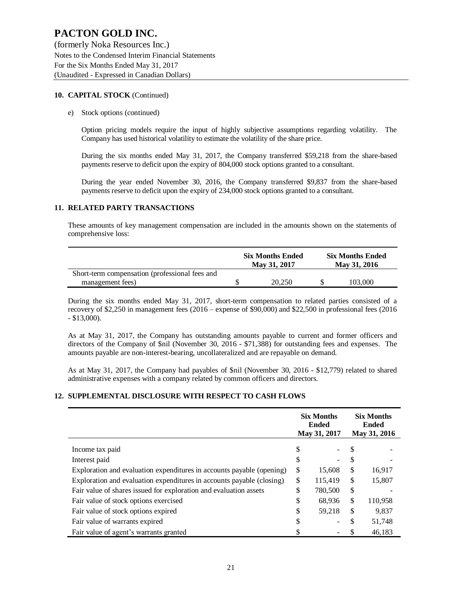(formerly Noka Resources Inc.) Notes to the Condensed Interim Financial Statements For the Six Months Ended May 31, 2017 (Unaudited - Expressed in Canadian Dollars)

#### **10. CAPITAL STOCK** (Continued)

#### e) Stock options (continued)

Option pricing models require the input of highly subjective assumptions regarding volatility. The Company has used historical volatility to estimate the volatility of the share price.

During the six months ended May 31, 2017, the Company transferred \$59,218 from the share-based payments reserve to deficit upon the expiry of 804,000 stock options granted to a consultant.

During the year ended November 30, 2016, the Company transferred \$9,837 from the share-based payments reserve to deficit upon the expiry of 234,000 stock options granted to a consultant.

#### **11. RELATED PARTY TRANSACTIONS**

These amounts of key management compensation are included in the amounts shown on the statements of comprehensive loss:

|                                                | <b>Six Months Ended</b><br>May 31, 2017 | <b>Six Months Ended</b><br>May 31, 2016 |
|------------------------------------------------|-----------------------------------------|-----------------------------------------|
| Short-term compensation (professional fees and |                                         |                                         |
| management fees)                               | 20.250                                  | 103.000                                 |

During the six months ended May 31, 2017, short-term compensation to related parties consisted of a recovery of \$2,250 in management fees (2016 – expense of \$90,000) and \$22,500 in professional fees (2016 - \$13,000).

As at May 31, 2017, the Company has outstanding amounts payable to current and former officers and directors of the Company of \$nil (November 30, 2016 - \$71,388) for outstanding fees and expenses. The amounts payable are non-interest-bearing, uncollateralized and are repayable on demand.

As at May 31, 2017, the Company had payables of \$nil (November 30, 2016 - \$12,779) related to shared administrative expenses with a company related by common officers and directors.

### **12. SUPPLEMENTAL DISCLOSURE WITH RESPECT TO CASH FLOWS**

|                                                                       | <b>Six Months</b><br><b>Ended</b><br>May 31, 2017 |                          | <b>Six Months</b><br><b>Ended</b><br>May 31, 2016 |         |
|-----------------------------------------------------------------------|---------------------------------------------------|--------------------------|---------------------------------------------------|---------|
| Income tax paid                                                       | \$                                                |                          | S                                                 |         |
| Interest paid                                                         | \$                                                | $\overline{\phantom{a}}$ | S                                                 |         |
| Exploration and evaluation expenditures in accounts payable (opening) | S                                                 | 15,608                   | \$                                                | 16,917  |
| Exploration and evaluation expenditures in accounts payable (closing) | \$                                                | 115,419                  | \$                                                | 15,807  |
| Fair value of shares issued for exploration and evaluation assets     | \$                                                | 780,500                  | \$                                                |         |
| Fair value of stock options exercised                                 | \$                                                | 68,936                   | \$                                                | 110,958 |
| Fair value of stock options expired                                   | \$                                                | 59,218                   | \$                                                | 9,837   |
| Fair value of warrants expired                                        | \$                                                |                          | \$                                                | 51,748  |
| Fair value of agent's warrants granted                                |                                                   |                          |                                                   | 46,183  |